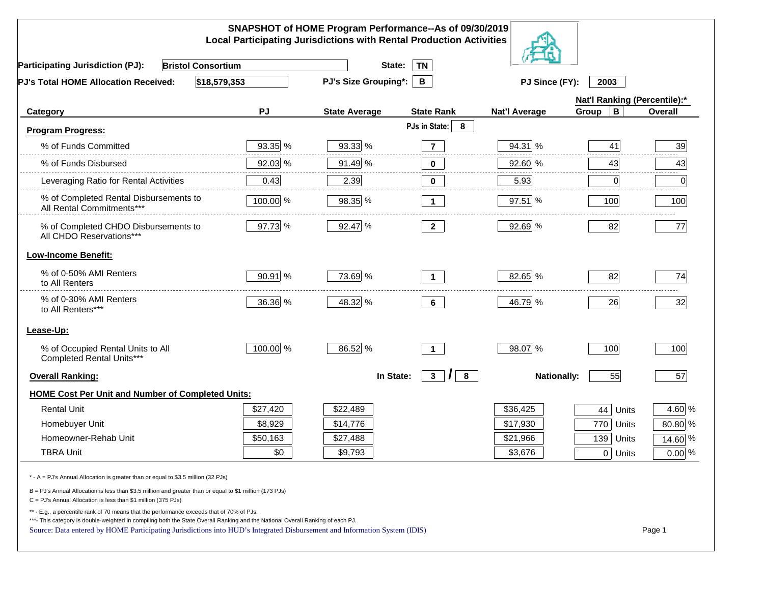| SNAPSHOT of HOME Program Performance--As of 09/30/2019<br><b>Local Participating Jurisdictions with Rental Production Activities</b>                                                                                                                                                                                                                     |           |                                  |                               |                        |              |                              |  |
|----------------------------------------------------------------------------------------------------------------------------------------------------------------------------------------------------------------------------------------------------------------------------------------------------------------------------------------------------------|-----------|----------------------------------|-------------------------------|------------------------|--------------|------------------------------|--|
| <b>Bristol Consortium</b><br><b>Participating Jurisdiction (PJ):</b>                                                                                                                                                                                                                                                                                     |           | State:                           | <b>TN</b>                     |                        |              |                              |  |
| \$18,579,353<br>PJ's Total HOME Allocation Received:                                                                                                                                                                                                                                                                                                     |           | <b>PJ's Size Grouping*:</b><br>B |                               | PJ Since (FY):<br>2003 |              |                              |  |
|                                                                                                                                                                                                                                                                                                                                                          |           |                                  |                               |                        |              | Nat'l Ranking (Percentile):* |  |
| Category                                                                                                                                                                                                                                                                                                                                                 | <b>PJ</b> | <b>State Average</b>             | <b>State Rank</b>             | <b>Nat'l Average</b>   | В<br>Group   | Overall                      |  |
| <b>Program Progress:</b>                                                                                                                                                                                                                                                                                                                                 |           |                                  | PJs in State:<br>8            |                        |              |                              |  |
| % of Funds Committed                                                                                                                                                                                                                                                                                                                                     | 93.35 %   | 93.33 %                          | $\overline{7}$                | 94.31 %                | 41           | 39                           |  |
| % of Funds Disbursed                                                                                                                                                                                                                                                                                                                                     | 92.03 %   | 91.49 %                          | 0                             | 92.60 %                | 43           | 43                           |  |
| Leveraging Ratio for Rental Activities                                                                                                                                                                                                                                                                                                                   | 0.43      | 2.39                             | 0                             | 5.93                   | $\mathbf 0$  | 0                            |  |
| % of Completed Rental Disbursements to<br>All Rental Commitments***                                                                                                                                                                                                                                                                                      | 100.00 %  | 98.35 %                          | $\mathbf 1$                   | 97.51 %                | 100          | 100                          |  |
| % of Completed CHDO Disbursements to<br>All CHDO Reservations***                                                                                                                                                                                                                                                                                         | 97.73 %   | 92.47 %                          | $\mathbf{2}$                  | 92.69 %                | 82           | 77                           |  |
| <b>Low-Income Benefit:</b>                                                                                                                                                                                                                                                                                                                               |           |                                  |                               |                        |              |                              |  |
| % of 0-50% AMI Renters<br>to All Renters                                                                                                                                                                                                                                                                                                                 | 90.91 %   | 73.69 %                          | $\blacktriangleleft$          | 82.65 %                | 82           | 74                           |  |
| % of 0-30% AMI Renters<br>to All Renters***                                                                                                                                                                                                                                                                                                              | 36.36 %   | 48.32 %                          | 6                             | 46.79 %                | 26           | 32                           |  |
| Lease-Up:                                                                                                                                                                                                                                                                                                                                                |           |                                  |                               |                        |              |                              |  |
| % of Occupied Rental Units to All<br>Completed Rental Units***                                                                                                                                                                                                                                                                                           | 100.00 %  | 86.52 %                          | $\overline{1}$                | 98.07 %                | 100          | 100                          |  |
| <b>Overall Ranking:</b>                                                                                                                                                                                                                                                                                                                                  |           | In State:                        | $\mathbf{3}$<br>8<br>$\prime$ | <b>Nationally:</b>     | 55           | 57                           |  |
| <b>HOME Cost Per Unit and Number of Completed Units:</b>                                                                                                                                                                                                                                                                                                 |           |                                  |                               |                        |              |                              |  |
| <b>Rental Unit</b>                                                                                                                                                                                                                                                                                                                                       | \$27,420  | \$22,489                         |                               | \$36,425               | 44<br>Units  | 4.60 %                       |  |
| Homebuyer Unit                                                                                                                                                                                                                                                                                                                                           | \$8,929   | \$14,776                         |                               | \$17,930               | 770<br>Units | 80.80 %                      |  |
| Homeowner-Rehab Unit                                                                                                                                                                                                                                                                                                                                     | \$50,163  | \$27,488                         |                               | \$21,966               | 139<br>Units | 14.60 %                      |  |
| <b>TBRA Unit</b>                                                                                                                                                                                                                                                                                                                                         | \$0       | \$9,793                          |                               | \$3,676                | 0 Units      | $0.00\%$                     |  |
| * - A = PJ's Annual Allocation is greater than or equal to \$3.5 million (32 PJs)                                                                                                                                                                                                                                                                        |           |                                  |                               |                        |              |                              |  |
| B = PJ's Annual Allocation is less than \$3.5 million and greater than or equal to \$1 million (173 PJs)<br>$C = PJ's$ Annual Allocation is less than \$1 million (375 PJs)                                                                                                                                                                              |           |                                  |                               |                        |              |                              |  |
| ** - E.g., a percentile rank of 70 means that the performance exceeds that of 70% of PJs.<br>***- This category is double-weighted in compiling both the State Overall Ranking and the National Overall Ranking of each PJ.<br>Source: Data entered by HOME Participating Jurisdictions into HUD's Integrated Disbursement and Information System (IDIS) |           |                                  |                               |                        |              | Page 1                       |  |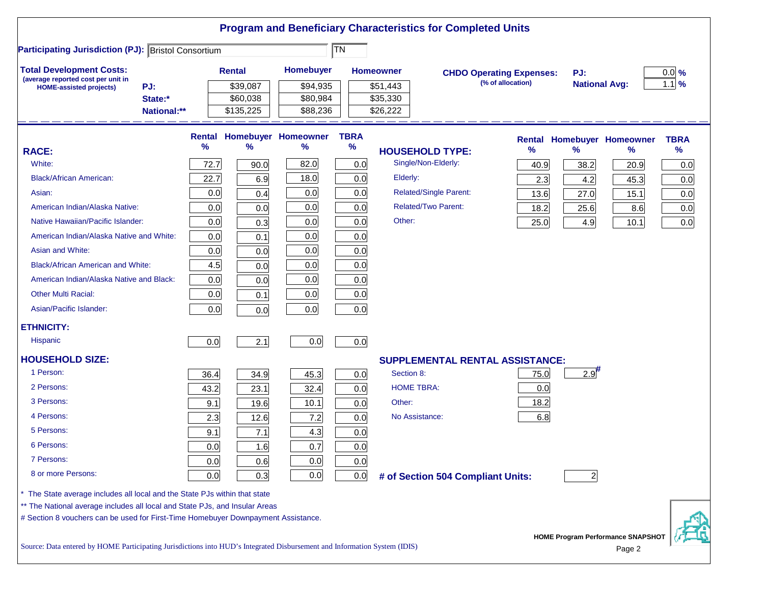|                                                                                                                           |             |                                       |                                          |                     | <b>Program and Beneficiary Characteristics for Completed Units</b> |                                                      |                             |                                          |                     |
|---------------------------------------------------------------------------------------------------------------------------|-------------|---------------------------------------|------------------------------------------|---------------------|--------------------------------------------------------------------|------------------------------------------------------|-----------------------------|------------------------------------------|---------------------|
| <b>Participating Jurisdiction (PJ): Bristol Consortium</b>                                                                |             |                                       |                                          | TN                  |                                                                    |                                                      |                             |                                          |                     |
| <b>Total Development Costs:</b><br>(average reported cost per unit in<br>PJ:<br><b>HOME-assisted projects)</b><br>State:* |             | <b>Rental</b><br>\$39,087<br>\$60,038 | <b>Homebuyer</b><br>\$94,935<br>\$80,984 |                     | <b>Homeowner</b><br>\$51,443<br>\$35,330                           | <b>CHDO Operating Expenses:</b><br>(% of allocation) | PJ:<br><b>National Avg:</b> |                                          | $0.0\%$<br>$1.1$ %  |
| National:**                                                                                                               |             | \$135,225                             | \$88,236                                 |                     | \$26,222                                                           |                                                      |                             |                                          |                     |
| <b>RACE:</b>                                                                                                              | Rental<br>% | ℅                                     | <b>Homebuyer Homeowner</b><br>℅          | <b>TBRA</b><br>$\%$ | <b>HOUSEHOLD TYPE:</b>                                             | $\%$                                                 | $\frac{9}{6}$               | <b>Rental Homebuyer Homeowner</b><br>%   | <b>TBRA</b><br>$\%$ |
| White:                                                                                                                    | 72.7        |                                       | 82.0                                     | 0.0                 | Single/Non-Elderly:                                                |                                                      |                             |                                          |                     |
| <b>Black/African American:</b>                                                                                            | 22.7        | 90.0                                  | 18.0                                     |                     | Elderly:                                                           | 40.9                                                 | 38.2                        | 20.9                                     | 0.0                 |
|                                                                                                                           |             | 6.9                                   | 0.0                                      | 0.0                 | <b>Related/Single Parent:</b>                                      | 2.3                                                  | 4.2                         | 45.3                                     | 0.0                 |
| Asian:                                                                                                                    | 0.0         | 0.4                                   |                                          | 0.0                 | <b>Related/Two Parent:</b>                                         | 13.6                                                 | 27.0                        | 15.1                                     | 0.0                 |
| American Indian/Alaska Native:                                                                                            | 0.0         | 0.0                                   | 0.0                                      | 0.0                 | Other:                                                             | 18.2                                                 | 25.6                        | 8.6                                      | 0.0                 |
| Native Hawaiian/Pacific Islander:                                                                                         | 0.0         | 0.3                                   | 0.0                                      | 0.0                 |                                                                    | 25.0                                                 | 4.9                         | 10.1                                     | 0.0                 |
| American Indian/Alaska Native and White:                                                                                  | 0.0         | 0.1                                   | 0.0                                      | 0.0                 |                                                                    |                                                      |                             |                                          |                     |
| Asian and White:                                                                                                          | 0.0         | 0.0                                   | 0.0                                      | 0.0                 |                                                                    |                                                      |                             |                                          |                     |
| <b>Black/African American and White:</b>                                                                                  | 4.5         | 0.0                                   | 0.0                                      | 0.0                 |                                                                    |                                                      |                             |                                          |                     |
| American Indian/Alaska Native and Black:                                                                                  | 0.0         | 0.0                                   | 0.0                                      | 0.0                 |                                                                    |                                                      |                             |                                          |                     |
| <b>Other Multi Racial:</b>                                                                                                | 0.0         | 0.1                                   | 0.0                                      | 0.0                 |                                                                    |                                                      |                             |                                          |                     |
| Asian/Pacific Islander:                                                                                                   | 0.0         | 0.0                                   | 0.0                                      | 0.0                 |                                                                    |                                                      |                             |                                          |                     |
| <b>ETHNICITY:</b>                                                                                                         |             |                                       |                                          |                     |                                                                    |                                                      |                             |                                          |                     |
| <b>Hispanic</b>                                                                                                           | 0.0         | 2.1                                   | 0.0                                      | 0.0                 |                                                                    |                                                      |                             |                                          |                     |
| <b>HOUSEHOLD SIZE:</b>                                                                                                    |             |                                       |                                          |                     |                                                                    | <b>SUPPLEMENTAL RENTAL ASSISTANCE:</b>               |                             |                                          |                     |
| 1 Person:                                                                                                                 | 36.4        | 34.9                                  | 45.3                                     | 0.0                 | Section 8:                                                         | 75.0                                                 | 2.9                         |                                          |                     |
| 2 Persons:                                                                                                                | 43.2        | 23.1                                  | 32.4                                     | 0.0                 | <b>HOME TBRA:</b>                                                  | 0.0                                                  |                             |                                          |                     |
| 3 Persons:                                                                                                                | 9.1         | 19.6                                  | 10.1                                     | 0.0                 | Other:                                                             | 18.2                                                 |                             |                                          |                     |
| 4 Persons:                                                                                                                | 2.3         | 12.6                                  | 7.2                                      | 0.0                 | No Assistance:                                                     | 6.8                                                  |                             |                                          |                     |
| 5 Persons:                                                                                                                | 9.1         | 7.1                                   | 4.3                                      | 0.0                 |                                                                    |                                                      |                             |                                          |                     |
| 6 Persons:                                                                                                                | 0.0         | 1.6                                   | 0.7                                      | 0.0                 |                                                                    |                                                      |                             |                                          |                     |
| 7 Persons:                                                                                                                | 0.0         | 0.6                                   | 0.0                                      | 0.0                 |                                                                    |                                                      |                             |                                          |                     |
| 8 or more Persons:                                                                                                        | 0.0         | 0.3                                   | 0.0                                      | 0.0                 | # of Section 504 Compliant Units:                                  |                                                      | $\overline{\mathbf{c}}$     |                                          |                     |
| The State average includes all local and the State PJs within that state                                                  |             |                                       |                                          |                     |                                                                    |                                                      |                             |                                          |                     |
| ** The National average includes all local and State PJs, and Insular Areas                                               |             |                                       |                                          |                     |                                                                    |                                                      |                             |                                          |                     |
| # Section 8 vouchers can be used for First-Time Homebuyer Downpayment Assistance.                                         |             |                                       |                                          |                     |                                                                    |                                                      |                             | <b>HOME Program Performance SNAPSHOT</b> |                     |
| Source: Data entered by HOME Participating Jurisdictions into HUD's Integrated Disbursement and Information System (IDIS) |             |                                       |                                          |                     |                                                                    |                                                      |                             | Page 2                                   |                     |